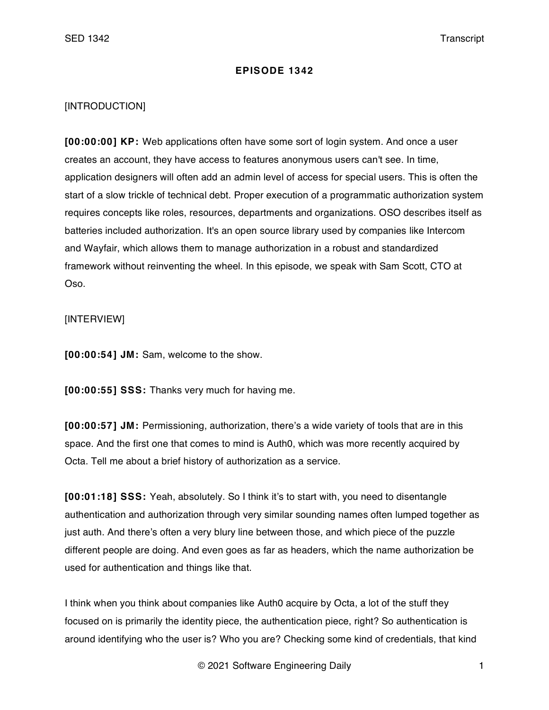## **EPISODE 1342**

## [INTRODUCTION]

**[00:00:00] KP:** Web applications often have some sort of login system. And once a user creates an account, they have access to features anonymous users can't see. In time, application designers will often add an admin level of access for special users. This is often the start of a slow trickle of technical debt. Proper execution of a programmatic authorization system requires concepts like roles, resources, departments and organizations. OSO describes itself as batteries included authorization. It's an open source library used by companies like Intercom and Wayfair, which allows them to manage authorization in a robust and standardized framework without reinventing the wheel. In this episode, we speak with Sam Scott, CTO at Oso.

## [INTERVIEW]

**[00:00:54] JM:** Sam, welcome to the show.

**[00:00:55] SSS:** Thanks very much for having me.

**[00:00:57] JM:** Permissioning, authorization, there's a wide variety of tools that are in this space. And the first one that comes to mind is Auth0, which was more recently acquired by Octa. Tell me about a brief history of authorization as a service.

**[00:01:18] SSS:** Yeah, absolutely. So I think it's to start with, you need to disentangle authentication and authorization through very similar sounding names often lumped together as just auth. And there's often a very blury line between those, and which piece of the puzzle different people are doing. And even goes as far as headers, which the name authorization be used for authentication and things like that.

I think when you think about companies like Auth0 acquire by Octa, a lot of the stuff they focused on is primarily the identity piece, the authentication piece, right? So authentication is around identifying who the user is? Who you are? Checking some kind of credentials, that kind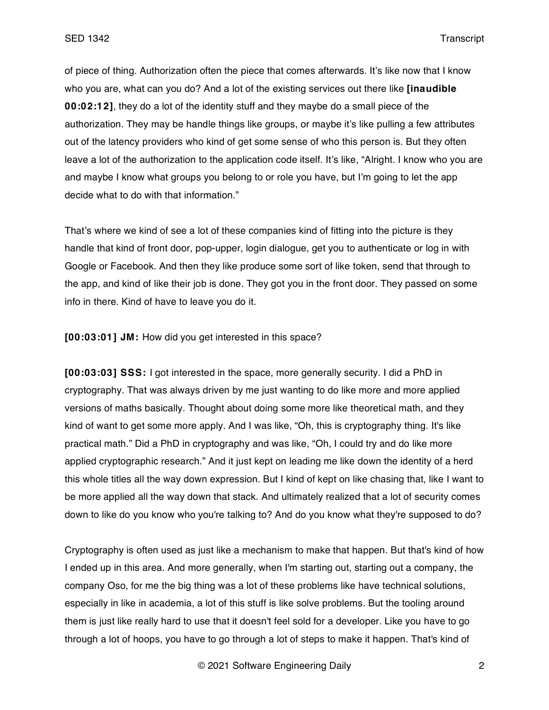of piece of thing. Authorization often the piece that comes afterwards. It's like now that I know who you are, what can you do? And a lot of the existing services out there like **[inaudible 00:02:12]**, they do a lot of the identity stuff and they maybe do a small piece of the authorization. They may be handle things like groups, or maybe it's like pulling a few attributes out of the latency providers who kind of get some sense of who this person is. But they often leave a lot of the authorization to the application code itself. It's like, "Alright. I know who you are and maybe I know what groups you belong to or role you have, but I'm going to let the app decide what to do with that information."

That's where we kind of see a lot of these companies kind of fitting into the picture is they handle that kind of front door, pop-upper, login dialogue, get you to authenticate or log in with Google or Facebook. And then they like produce some sort of like token, send that through to the app, and kind of like their job is done. They got you in the front door. They passed on some info in there. Kind of have to leave you do it.

**[00:03:01] JM:** How did you get interested in this space?

**[00:03:03] SSS:** I got interested in the space, more generally security. I did a PhD in cryptography. That was always driven by me just wanting to do like more and more applied versions of maths basically. Thought about doing some more like theoretical math, and they kind of want to get some more apply. And I was like, "Oh, this is cryptography thing. It's like practical math." Did a PhD in cryptography and was like, "Oh, I could try and do like more applied cryptographic research." And it just kept on leading me like down the identity of a herd this whole titles all the way down expression. But I kind of kept on like chasing that, like I want to be more applied all the way down that stack. And ultimately realized that a lot of security comes down to like do you know who you're talking to? And do you know what they're supposed to do?

Cryptography is often used as just like a mechanism to make that happen. But that's kind of how I ended up in this area. And more generally, when I'm starting out, starting out a company, the company Oso, for me the big thing was a lot of these problems like have technical solutions, especially in like in academia, a lot of this stuff is like solve problems. But the tooling around them is just like really hard to use that it doesn't feel sold for a developer. Like you have to go through a lot of hoops, you have to go through a lot of steps to make it happen. That's kind of

© 2021 Software Engineering Daily 2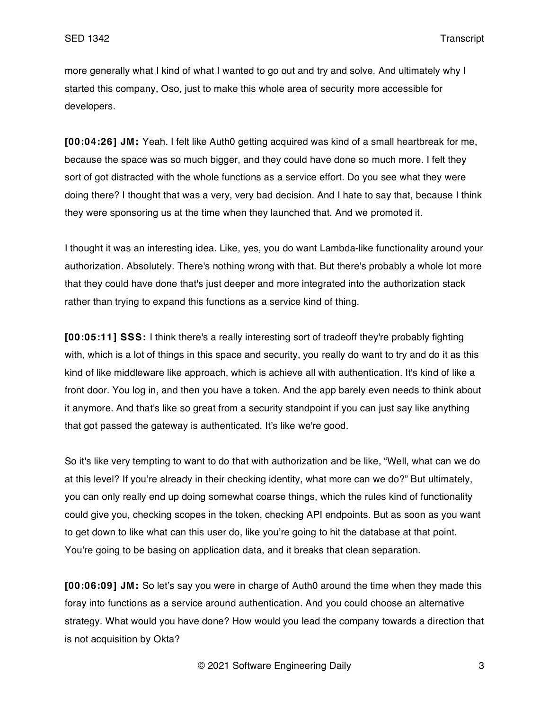more generally what I kind of what I wanted to go out and try and solve. And ultimately why I started this company, Oso, just to make this whole area of security more accessible for developers.

**[00:04:26] JM:** Yeah. I felt like Auth0 getting acquired was kind of a small heartbreak for me, because the space was so much bigger, and they could have done so much more. I felt they sort of got distracted with the whole functions as a service effort. Do you see what they were doing there? I thought that was a very, very bad decision. And I hate to say that, because I think they were sponsoring us at the time when they launched that. And we promoted it.

I thought it was an interesting idea. Like, yes, you do want Lambda-like functionality around your authorization. Absolutely. There's nothing wrong with that. But there's probably a whole lot more that they could have done that's just deeper and more integrated into the authorization stack rather than trying to expand this functions as a service kind of thing.

**[00:05:11] SSS:** I think there's a really interesting sort of tradeoff they're probably fighting with, which is a lot of things in this space and security, you really do want to try and do it as this kind of like middleware like approach, which is achieve all with authentication. It's kind of like a front door. You log in, and then you have a token. And the app barely even needs to think about it anymore. And that's like so great from a security standpoint if you can just say like anything that got passed the gateway is authenticated. It's like we're good.

So it's like very tempting to want to do that with authorization and be like, "Well, what can we do at this level? If you're already in their checking identity, what more can we do?" But ultimately, you can only really end up doing somewhat coarse things, which the rules kind of functionality could give you, checking scopes in the token, checking API endpoints. But as soon as you want to get down to like what can this user do, like you're going to hit the database at that point. You're going to be basing on application data, and it breaks that clean separation.

**[00:06:09] JM:** So let's say you were in charge of Auth0 around the time when they made this foray into functions as a service around authentication. And you could choose an alternative strategy. What would you have done? How would you lead the company towards a direction that is not acquisition by Okta?

© 2021 Software Engineering Daily 3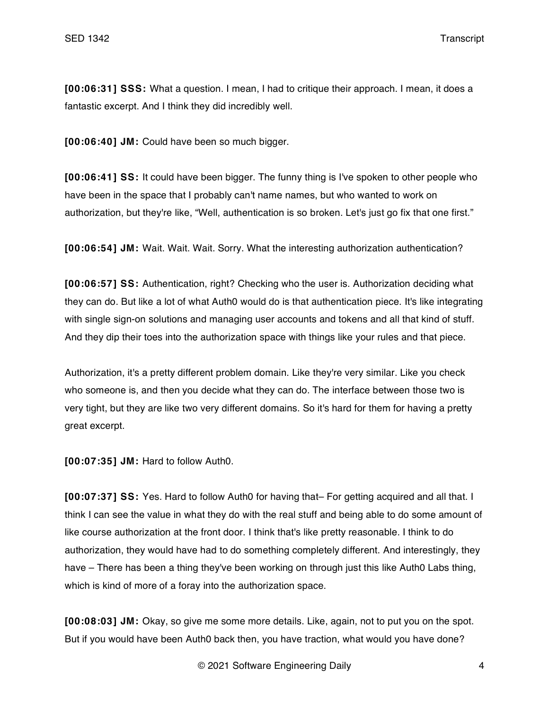**[00:06:31] SSS:** What a question. I mean, I had to critique their approach. I mean, it does a fantastic excerpt. And I think they did incredibly well.

**[00:06:40] JM:** Could have been so much bigger.

**[00:06:41] SS:** It could have been bigger. The funny thing is I've spoken to other people who have been in the space that I probably can't name names, but who wanted to work on authorization, but they're like, "Well, authentication is so broken. Let's just go fix that one first."

**[00:06:54] JM:** Wait. Wait. Wait. Sorry. What the interesting authorization authentication?

**[00:06:57] SS:** Authentication, right? Checking who the user is. Authorization deciding what they can do. But like a lot of what Auth0 would do is that authentication piece. It's like integrating with single sign-on solutions and managing user accounts and tokens and all that kind of stuff. And they dip their toes into the authorization space with things like your rules and that piece.

Authorization, it's a pretty different problem domain. Like they're very similar. Like you check who someone is, and then you decide what they can do. The interface between those two is very tight, but they are like two very different domains. So it's hard for them for having a pretty great excerpt.

**[00:07:35] JM:** Hard to follow Auth0.

**[00:07:37] SS:** Yes. Hard to follow Auth0 for having that– For getting acquired and all that. I think I can see the value in what they do with the real stuff and being able to do some amount of like course authorization at the front door. I think that's like pretty reasonable. I think to do authorization, they would have had to do something completely different. And interestingly, they have – There has been a thing they've been working on through just this like Auth0 Labs thing, which is kind of more of a foray into the authorization space.

**[00:08:03] JM:** Okay, so give me some more details. Like, again, not to put you on the spot. But if you would have been Auth0 back then, you have traction, what would you have done?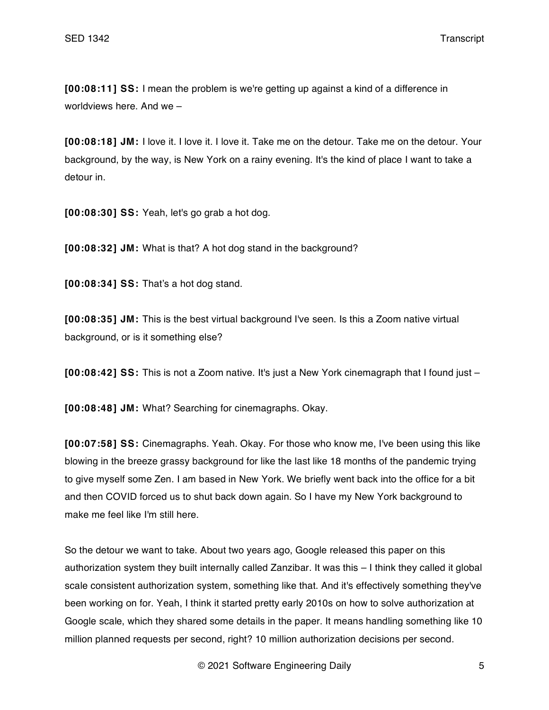**[00:08:11] SS:** I mean the problem is we're getting up against a kind of a difference in worldviews here. And we –

**[00:08:18] JM:** I love it. I love it. I love it. Take me on the detour. Take me on the detour. Your background, by the way, is New York on a rainy evening. It's the kind of place I want to take a detour in.

**[00:08:30] SS:** Yeah, let's go grab a hot dog.

**[00:08:32] JM:** What is that? A hot dog stand in the background?

**[00:08:34] SS:** That's a hot dog stand.

**[00:08:35] JM:** This is the best virtual background I've seen. Is this a Zoom native virtual background, or is it something else?

**[00:08:42] SS:** This is not a Zoom native. It's just a New York cinemagraph that I found just –

**[00:08:48] JM:** What? Searching for cinemagraphs. Okay.

**[00:07:58] SS:** Cinemagraphs. Yeah. Okay. For those who know me, I've been using this like blowing in the breeze grassy background for like the last like 18 months of the pandemic trying to give myself some Zen. I am based in New York. We briefly went back into the office for a bit and then COVID forced us to shut back down again. So I have my New York background to make me feel like I'm still here.

So the detour we want to take. About two years ago, Google released this paper on this authorization system they built internally called Zanzibar. It was this – I think they called it global scale consistent authorization system, something like that. And it's effectively something they've been working on for. Yeah, I think it started pretty early 2010s on how to solve authorization at Google scale, which they shared some details in the paper. It means handling something like 10 million planned requests per second, right? 10 million authorization decisions per second.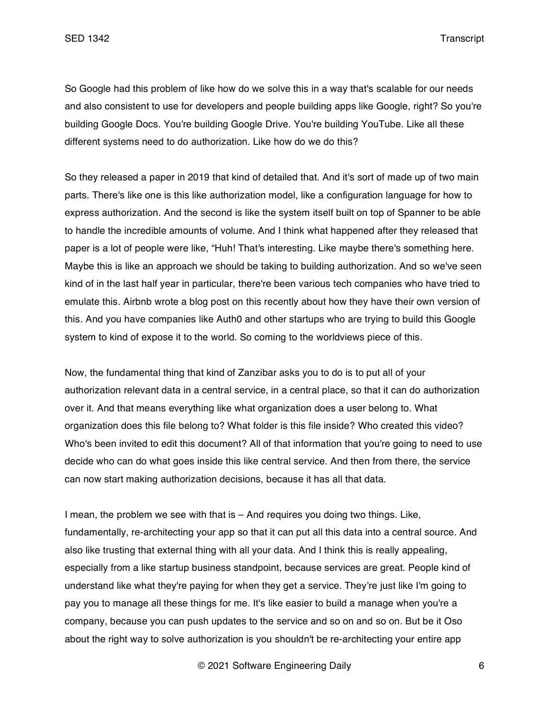So Google had this problem of like how do we solve this in a way that's scalable for our needs and also consistent to use for developers and people building apps like Google, right? So you're building Google Docs. You're building Google Drive. You're building YouTube. Like all these different systems need to do authorization. Like how do we do this?

So they released a paper in 2019 that kind of detailed that. And it's sort of made up of two main parts. There's like one is this like authorization model, like a configuration language for how to express authorization. And the second is like the system itself built on top of Spanner to be able to handle the incredible amounts of volume. And I think what happened after they released that paper is a lot of people were like, "Huh! That's interesting. Like maybe there's something here. Maybe this is like an approach we should be taking to building authorization. And so we've seen kind of in the last half year in particular, there're been various tech companies who have tried to emulate this. Airbnb wrote a blog post on this recently about how they have their own version of this. And you have companies like Auth0 and other startups who are trying to build this Google system to kind of expose it to the world. So coming to the worldviews piece of this.

Now, the fundamental thing that kind of Zanzibar asks you to do is to put all of your authorization relevant data in a central service, in a central place, so that it can do authorization over it. And that means everything like what organization does a user belong to. What organization does this file belong to? What folder is this file inside? Who created this video? Who's been invited to edit this document? All of that information that you're going to need to use decide who can do what goes inside this like central service. And then from there, the service can now start making authorization decisions, because it has all that data.

I mean, the problem we see with that is – And requires you doing two things. Like, fundamentally, re-architecting your app so that it can put all this data into a central source. And also like trusting that external thing with all your data. And I think this is really appealing, especially from a like startup business standpoint, because services are great. People kind of understand like what they're paying for when they get a service. They're just like I'm going to pay you to manage all these things for me. It's like easier to build a manage when you're a company, because you can push updates to the service and so on and so on. But be it Oso about the right way to solve authorization is you shouldn't be re-architecting your entire app

© 2021 Software Engineering Daily 6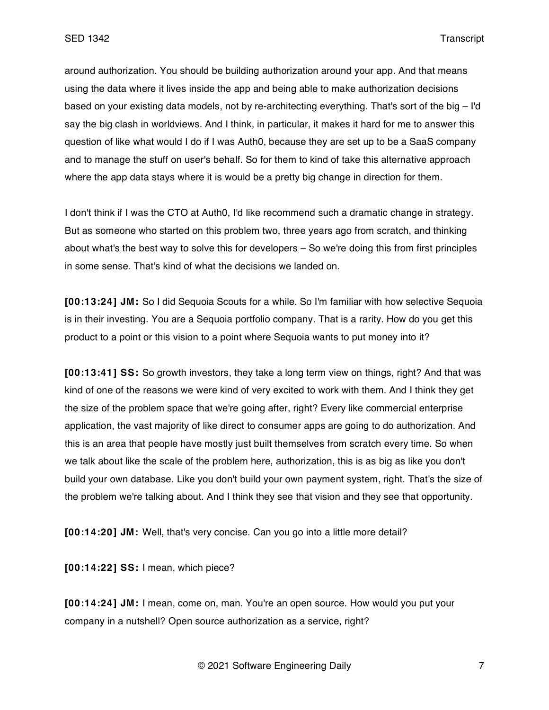around authorization. You should be building authorization around your app. And that means using the data where it lives inside the app and being able to make authorization decisions based on your existing data models, not by re-architecting everything. That's sort of the big – I'd say the big clash in worldviews. And I think, in particular, it makes it hard for me to answer this question of like what would I do if I was Auth0, because they are set up to be a SaaS company and to manage the stuff on user's behalf. So for them to kind of take this alternative approach where the app data stays where it is would be a pretty big change in direction for them.

I don't think if I was the CTO at Auth0, I'd like recommend such a dramatic change in strategy. But as someone who started on this problem two, three years ago from scratch, and thinking about what's the best way to solve this for developers – So we're doing this from first principles in some sense. That's kind of what the decisions we landed on.

**[00:13:24] JM:** So I did Sequoia Scouts for a while. So I'm familiar with how selective Sequoia is in their investing. You are a Sequoia portfolio company. That is a rarity. How do you get this product to a point or this vision to a point where Sequoia wants to put money into it?

**[00:13:41] SS:** So growth investors, they take a long term view on things, right? And that was kind of one of the reasons we were kind of very excited to work with them. And I think they get the size of the problem space that we're going after, right? Every like commercial enterprise application, the vast majority of like direct to consumer apps are going to do authorization. And this is an area that people have mostly just built themselves from scratch every time. So when we talk about like the scale of the problem here, authorization, this is as big as like you don't build your own database. Like you don't build your own payment system, right. That's the size of the problem we're talking about. And I think they see that vision and they see that opportunity.

**[00:14:20] JM:** Well, that's very concise. Can you go into a little more detail?

**[00:14:22] SS:** I mean, which piece?

**[00:14:24] JM:** I mean, come on, man. You're an open source. How would you put your company in a nutshell? Open source authorization as a service, right?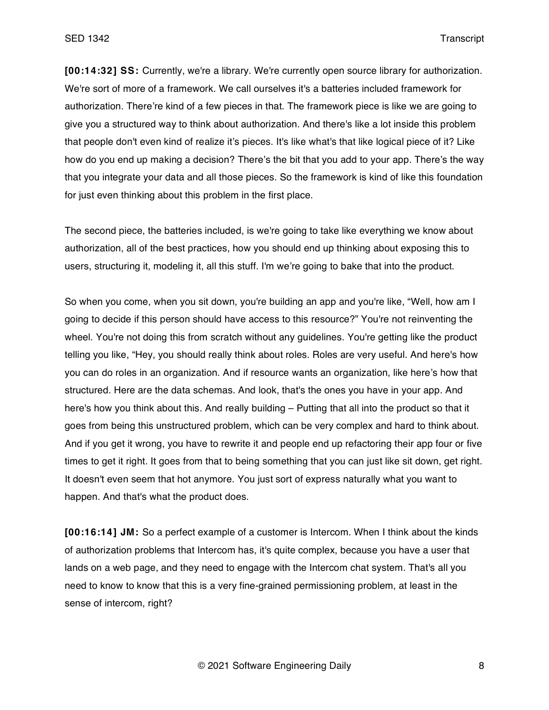SED 1342 Transcript

**[00:14:32] SS:** Currently, we're a library. We're currently open source library for authorization. We're sort of more of a framework. We call ourselves it's a batteries included framework for authorization. There're kind of a few pieces in that. The framework piece is like we are going to give you a structured way to think about authorization. And there's like a lot inside this problem that people don't even kind of realize it's pieces. It's like what's that like logical piece of it? Like how do you end up making a decision? There's the bit that you add to your app. There's the way that you integrate your data and all those pieces. So the framework is kind of like this foundation for just even thinking about this problem in the first place.

The second piece, the batteries included, is we're going to take like everything we know about authorization, all of the best practices, how you should end up thinking about exposing this to users, structuring it, modeling it, all this stuff. I'm we're going to bake that into the product.

So when you come, when you sit down, you're building an app and you're like, "Well, how am I going to decide if this person should have access to this resource?" You're not reinventing the wheel. You're not doing this from scratch without any guidelines. You're getting like the product telling you like, "Hey, you should really think about roles. Roles are very useful. And here's how you can do roles in an organization. And if resource wants an organization, like here's how that structured. Here are the data schemas. And look, that's the ones you have in your app. And here's how you think about this. And really building – Putting that all into the product so that it goes from being this unstructured problem, which can be very complex and hard to think about. And if you get it wrong, you have to rewrite it and people end up refactoring their app four or five times to get it right. It goes from that to being something that you can just like sit down, get right. It doesn't even seem that hot anymore. You just sort of express naturally what you want to happen. And that's what the product does.

**[00:16:14] JM:** So a perfect example of a customer is Intercom. When I think about the kinds of authorization problems that Intercom has, it's quite complex, because you have a user that lands on a web page, and they need to engage with the Intercom chat system. That's all you need to know to know that this is a very fine-grained permissioning problem, at least in the sense of intercom, right?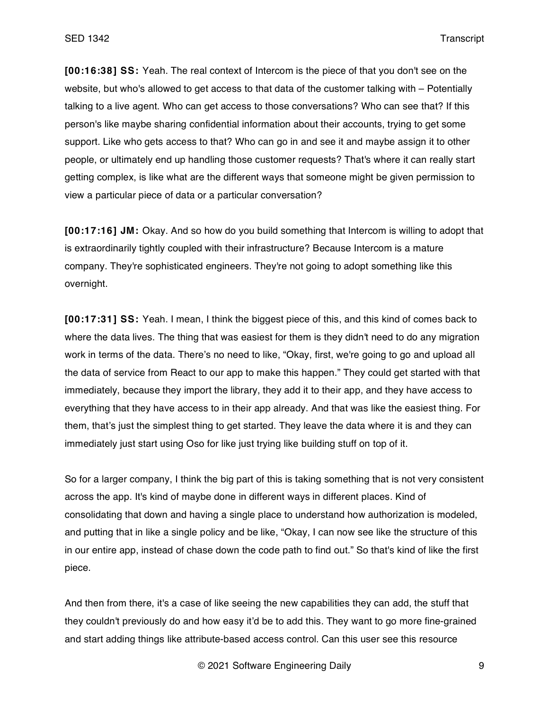**[00:16:38] SS:** Yeah. The real context of Intercom is the piece of that you don't see on the website, but who's allowed to get access to that data of the customer talking with – Potentially talking to a live agent. Who can get access to those conversations? Who can see that? If this person's like maybe sharing confidential information about their accounts, trying to get some support. Like who gets access to that? Who can go in and see it and maybe assign it to other people, or ultimately end up handling those customer requests? That's where it can really start getting complex, is like what are the different ways that someone might be given permission to view a particular piece of data or a particular conversation?

**[00:17:16] JM:** Okay. And so how do you build something that Intercom is willing to adopt that is extraordinarily tightly coupled with their infrastructure? Because Intercom is a mature company. They're sophisticated engineers. They're not going to adopt something like this overnight.

**[00:17:31] SS:** Yeah. I mean, I think the biggest piece of this, and this kind of comes back to where the data lives. The thing that was easiest for them is they didn't need to do any migration work in terms of the data. There's no need to like, "Okay, first, we're going to go and upload all the data of service from React to our app to make this happen." They could get started with that immediately, because they import the library, they add it to their app, and they have access to everything that they have access to in their app already. And that was like the easiest thing. For them, that's just the simplest thing to get started. They leave the data where it is and they can immediately just start using Oso for like just trying like building stuff on top of it.

So for a larger company, I think the big part of this is taking something that is not very consistent across the app. It's kind of maybe done in different ways in different places. Kind of consolidating that down and having a single place to understand how authorization is modeled, and putting that in like a single policy and be like, "Okay, I can now see like the structure of this in our entire app, instead of chase down the code path to find out." So that's kind of like the first piece.

And then from there, it's a case of like seeing the new capabilities they can add, the stuff that they couldn't previously do and how easy it'd be to add this. They want to go more fine-grained and start adding things like attribute-based access control. Can this user see this resource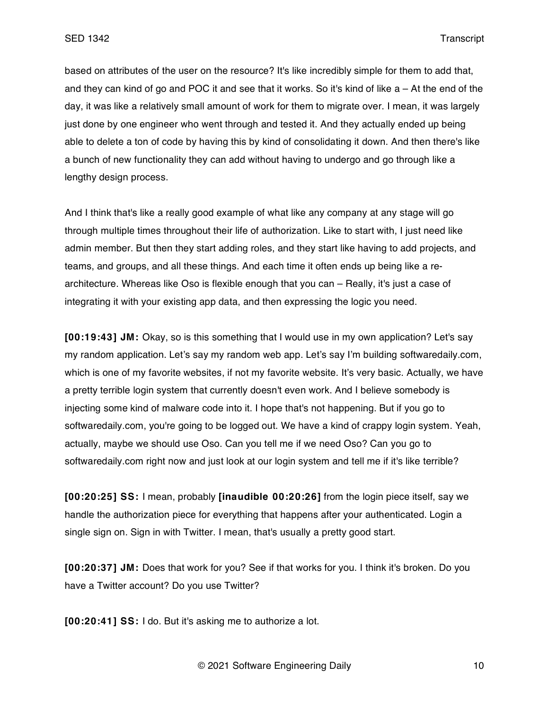based on attributes of the user on the resource? It's like incredibly simple for them to add that, and they can kind of go and POC it and see that it works. So it's kind of like a – At the end of the day, it was like a relatively small amount of work for them to migrate over. I mean, it was largely just done by one engineer who went through and tested it. And they actually ended up being able to delete a ton of code by having this by kind of consolidating it down. And then there's like a bunch of new functionality they can add without having to undergo and go through like a lengthy design process.

And I think that's like a really good example of what like any company at any stage will go through multiple times throughout their life of authorization. Like to start with, I just need like admin member. But then they start adding roles, and they start like having to add projects, and teams, and groups, and all these things. And each time it often ends up being like a rearchitecture. Whereas like Oso is flexible enough that you can – Really, it's just a case of integrating it with your existing app data, and then expressing the logic you need.

**[00:19:43] JM:** Okay, so is this something that I would use in my own application? Let's say my random application. Let's say my random web app. Let's say I'm building softwaredaily.com, which is one of my favorite websites, if not my favorite website. It's very basic. Actually, we have a pretty terrible login system that currently doesn't even work. And I believe somebody is injecting some kind of malware code into it. I hope that's not happening. But if you go to softwaredaily.com, you're going to be logged out. We have a kind of crappy login system. Yeah, actually, maybe we should use Oso. Can you tell me if we need Oso? Can you go to softwaredaily.com right now and just look at our login system and tell me if it's like terrible?

**[00:20:25] SS:** I mean, probably **[inaudible 00:20:26]** from the login piece itself, say we handle the authorization piece for everything that happens after your authenticated. Login a single sign on. Sign in with Twitter. I mean, that's usually a pretty good start.

**[00:20:37] JM:** Does that work for you? See if that works for you. I think it's broken. Do you have a Twitter account? Do you use Twitter?

**[00:20:41] SS:** I do. But it's asking me to authorize a lot.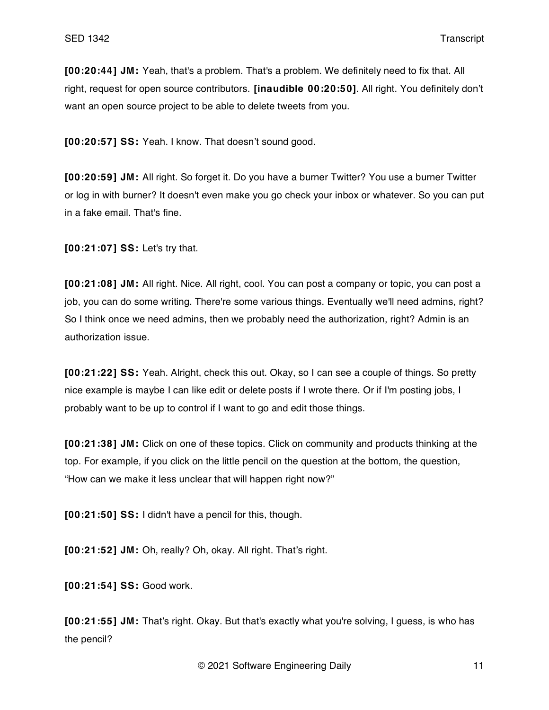**[00:20:44] JM:** Yeah, that's a problem. That's a problem. We definitely need to fix that. All right, request for open source contributors. **[inaudible 00:20:50]**. All right. You definitely don't want an open source project to be able to delete tweets from you.

**[00:20:57] SS:** Yeah. I know. That doesn't sound good.

**[00:20:59] JM:** All right. So forget it. Do you have a burner Twitter? You use a burner Twitter or log in with burner? It doesn't even make you go check your inbox or whatever. So you can put in a fake email. That's fine.

**[00:21:07] SS:** Let's try that.

**[00:21:08] JM:** All right. Nice. All right, cool. You can post a company or topic, you can post a job, you can do some writing. There're some various things. Eventually we'll need admins, right? So I think once we need admins, then we probably need the authorization, right? Admin is an authorization issue.

**[00:21:22] SS:** Yeah. Alright, check this out. Okay, so I can see a couple of things. So pretty nice example is maybe I can like edit or delete posts if I wrote there. Or if I'm posting jobs, I probably want to be up to control if I want to go and edit those things.

**[00:21:38] JM:** Click on one of these topics. Click on community and products thinking at the top. For example, if you click on the little pencil on the question at the bottom, the question, "How can we make it less unclear that will happen right now?"

**[00:21:50] SS:** I didn't have a pencil for this, though.

**[00:21:52] JM:** Oh, really? Oh, okay. All right. That's right.

**[00:21:54] SS:** Good work.

**[00:21:55] JM:** That's right. Okay. But that's exactly what you're solving, I guess, is who has the pencil?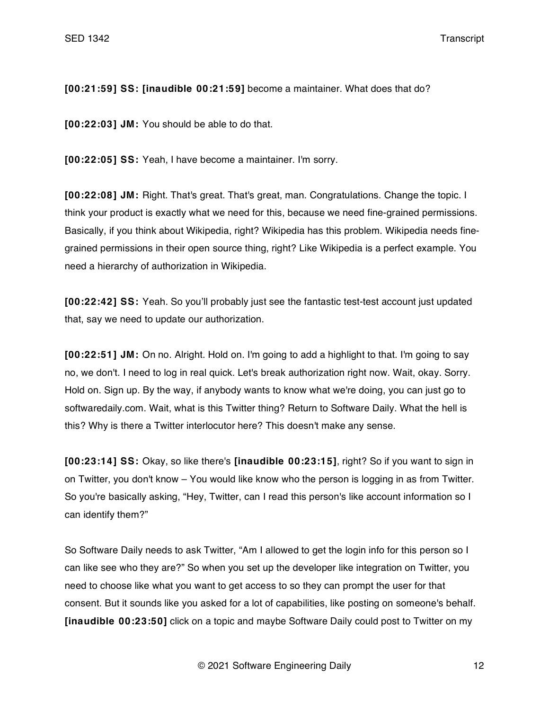**[00:21:59] SS: [inaudible 00:21:59]** become a maintainer. What does that do?

**[00:22:03] JM:** You should be able to do that.

**[00:22:05] SS:** Yeah, I have become a maintainer. I'm sorry.

**[00:22:08] JM:** Right. That's great. That's great, man. Congratulations. Change the topic. I think your product is exactly what we need for this, because we need fine-grained permissions. Basically, if you think about Wikipedia, right? Wikipedia has this problem. Wikipedia needs finegrained permissions in their open source thing, right? Like Wikipedia is a perfect example. You need a hierarchy of authorization in Wikipedia.

**[00:22:42] SS:** Yeah. So you'll probably just see the fantastic test-test account just updated that, say we need to update our authorization.

**[00:22:51] JM:** On no. Alright. Hold on. I'm going to add a highlight to that. I'm going to say no, we don't. I need to log in real quick. Let's break authorization right now. Wait, okay. Sorry. Hold on. Sign up. By the way, if anybody wants to know what we're doing, you can just go to softwaredaily.com. Wait, what is this Twitter thing? Return to Software Daily. What the hell is this? Why is there a Twitter interlocutor here? This doesn't make any sense.

**[00:23:14] SS:** Okay, so like there's **[inaudible 00:23:15]**, right? So if you want to sign in on Twitter, you don't know – You would like know who the person is logging in as from Twitter. So you're basically asking, "Hey, Twitter, can I read this person's like account information so I can identify them?"

So Software Daily needs to ask Twitter, "Am I allowed to get the login info for this person so I can like see who they are?" So when you set up the developer like integration on Twitter, you need to choose like what you want to get access to so they can prompt the user for that consent. But it sounds like you asked for a lot of capabilities, like posting on someone's behalf. **[inaudible 00:23:50]** click on a topic and maybe Software Daily could post to Twitter on my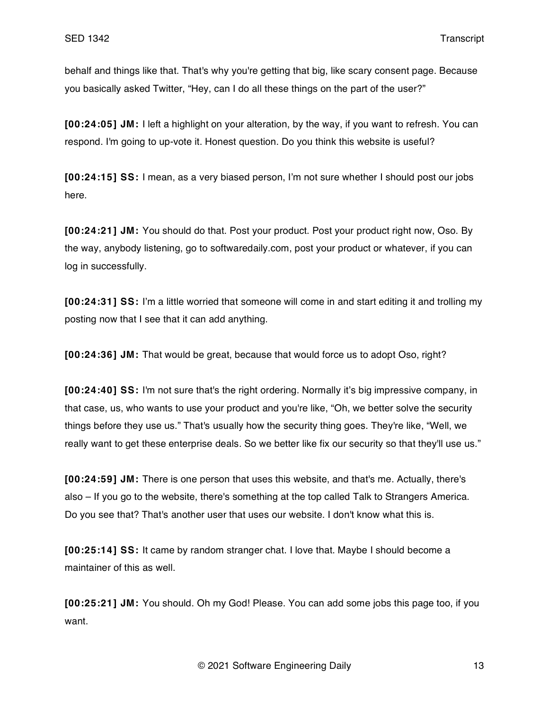behalf and things like that. That's why you're getting that big, like scary consent page. Because you basically asked Twitter, "Hey, can I do all these things on the part of the user?"

**[00:24:05] JM:** I left a highlight on your alteration, by the way, if you want to refresh. You can respond. I'm going to up-vote it. Honest question. Do you think this website is useful?

**[00:24:15] SS:** I mean, as a very biased person, I'm not sure whether I should post our jobs here.

**[00:24:21] JM:** You should do that. Post your product. Post your product right now, Oso. By the way, anybody listening, go to softwaredaily.com, post your product or whatever, if you can log in successfully.

**[00:24:31] SS:** I'm a little worried that someone will come in and start editing it and trolling my posting now that I see that it can add anything.

**[00:24:36] JM:** That would be great, because that would force us to adopt Oso, right?

**[00:24:40] SS:** I'm not sure that's the right ordering. Normally it's big impressive company, in that case, us, who wants to use your product and you're like, "Oh, we better solve the security things before they use us." That's usually how the security thing goes. They're like, "Well, we really want to get these enterprise deals. So we better like fix our security so that they'll use us."

**[00:24:59] JM:** There is one person that uses this website, and that's me. Actually, there's also – If you go to the website, there's something at the top called Talk to Strangers America. Do you see that? That's another user that uses our website. I don't know what this is.

**[00:25:14] SS:** It came by random stranger chat. I love that. Maybe I should become a maintainer of this as well.

**[00:25:21] JM:** You should. Oh my God! Please. You can add some jobs this page too, if you want.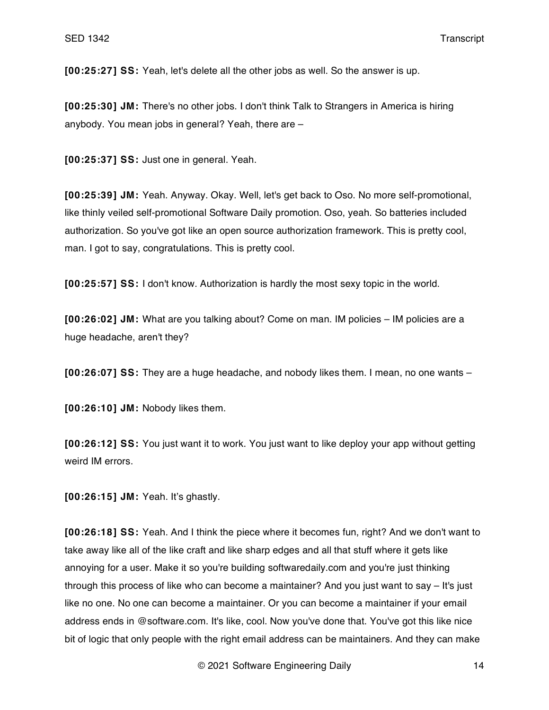**[00:25:27] SS:** Yeah, let's delete all the other jobs as well. So the answer is up.

**[00:25:30] JM:** There's no other jobs. I don't think Talk to Strangers in America is hiring anybody. You mean jobs in general? Yeah, there are –

**[00:25:37] SS:** Just one in general. Yeah.

**[00:25:39] JM:** Yeah. Anyway. Okay. Well, let's get back to Oso. No more self-promotional, like thinly veiled self-promotional Software Daily promotion. Oso, yeah. So batteries included authorization. So you've got like an open source authorization framework. This is pretty cool, man. I got to say, congratulations. This is pretty cool.

**[00:25:57] SS:** I don't know. Authorization is hardly the most sexy topic in the world.

**[00:26:02] JM:** What are you talking about? Come on man. IM policies – IM policies are a huge headache, aren't they?

**[00:26:07] SS:** They are a huge headache, and nobody likes them. I mean, no one wants –

**[00:26:10] JM:** Nobody likes them.

**[00:26:12] SS:** You just want it to work. You just want to like deploy your app without getting weird IM errors.

**[00:26:15] JM:** Yeah. It's ghastly.

**[00:26:18] SS:** Yeah. And I think the piece where it becomes fun, right? And we don't want to take away like all of the like craft and like sharp edges and all that stuff where it gets like annoying for a user. Make it so you're building softwaredaily.com and you're just thinking through this process of like who can become a maintainer? And you just want to say – It's just like no one. No one can become a maintainer. Or you can become a maintainer if your email address ends in @software.com. It's like, cool. Now you've done that. You've got this like nice bit of logic that only people with the right email address can be maintainers. And they can make

© 2021 Software Engineering Daily 14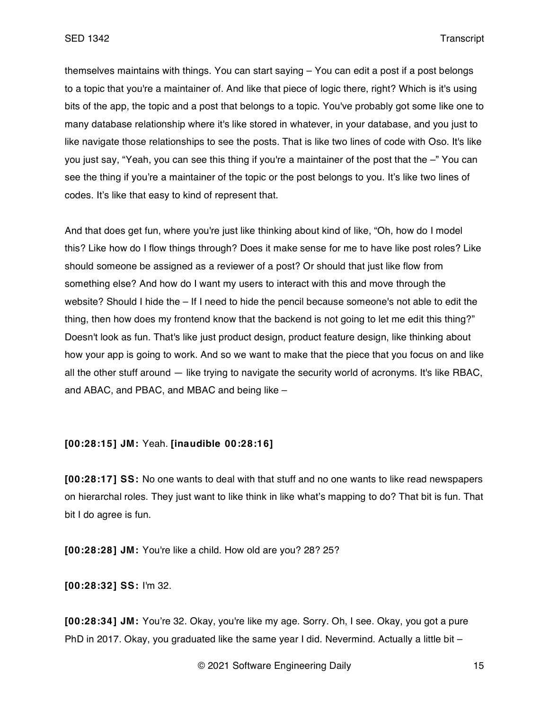themselves maintains with things. You can start saying – You can edit a post if a post belongs to a topic that you're a maintainer of. And like that piece of logic there, right? Which is it's using bits of the app, the topic and a post that belongs to a topic. You've probably got some like one to many database relationship where it's like stored in whatever, in your database, and you just to like navigate those relationships to see the posts. That is like two lines of code with Oso. It's like you just say, "Yeah, you can see this thing if you're a maintainer of the post that the –" You can see the thing if you're a maintainer of the topic or the post belongs to you. It's like two lines of codes. It's like that easy to kind of represent that.

And that does get fun, where you're just like thinking about kind of like, "Oh, how do I model this? Like how do I flow things through? Does it make sense for me to have like post roles? Like should someone be assigned as a reviewer of a post? Or should that just like flow from something else? And how do I want my users to interact with this and move through the website? Should I hide the – If I need to hide the pencil because someone's not able to edit the thing, then how does my frontend know that the backend is not going to let me edit this thing?" Doesn't look as fun. That's like just product design, product feature design, like thinking about how your app is going to work. And so we want to make that the piece that you focus on and like all the other stuff around — like trying to navigate the security world of acronyms. It's like RBAC, and ABAC, and PBAC, and MBAC and being like –

## **[00:28:15] JM:** Yeah. **[inaudible 00:28:16]**

**[00:28:17] SS:** No one wants to deal with that stuff and no one wants to like read newspapers on hierarchal roles. They just want to like think in like what's mapping to do? That bit is fun. That bit I do agree is fun.

**[00:28:28] JM:** You're like a child. How old are you? 28? 25?

**[00:28:32] SS:** I'm 32.

**[00:28:34] JM:** You're 32. Okay, you're like my age. Sorry. Oh, I see. Okay, you got a pure PhD in 2017. Okay, you graduated like the same year I did. Nevermind. Actually a little bit –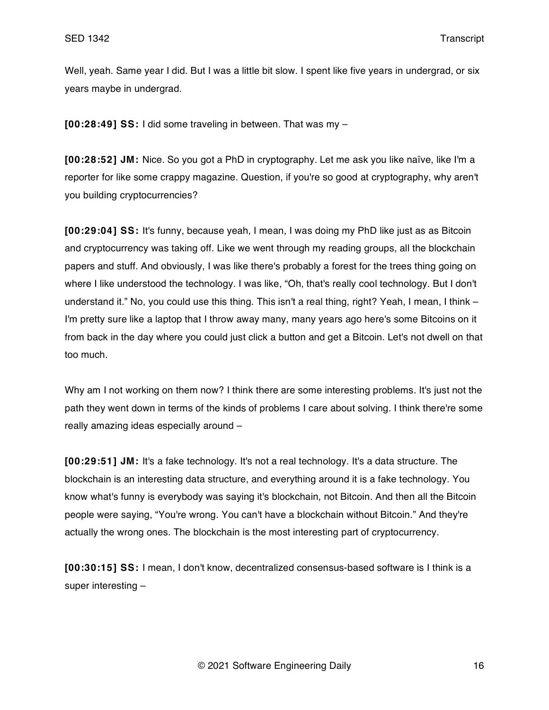Well, yeah. Same year I did. But I was a little bit slow. I spent like five years in undergrad, or six years maybe in undergrad.

**[00:28:49] SS:** I did some traveling in between. That was my –

**[00:28:52] JM:** Nice. So you got a PhD in cryptography. Let me ask you like naïve, like I'm a reporter for like some crappy magazine. Question, if you're so good at cryptography, why aren't you building cryptocurrencies?

**[00:29:04] SS:** It's funny, because yeah, I mean, I was doing my PhD like just as as Bitcoin and cryptocurrency was taking off. Like we went through my reading groups, all the blockchain papers and stuff. And obviously, I was like there's probably a forest for the trees thing going on where I like understood the technology. I was like, "Oh, that's really cool technology. But I don't understand it." No, you could use this thing. This isn't a real thing, right? Yeah, I mean, I think – I'm pretty sure like a laptop that I throw away many, many years ago here's some Bitcoins on it from back in the day where you could just click a button and get a Bitcoin. Let's not dwell on that too much.

Why am I not working on them now? I think there are some interesting problems. It's just not the path they went down in terms of the kinds of problems I care about solving. I think there're some really amazing ideas especially around –

**[00:29:51] JM:** It's a fake technology. It's not a real technology. It's a data structure. The blockchain is an interesting data structure, and everything around it is a fake technology. You know what's funny is everybody was saying it's blockchain, not Bitcoin. And then all the Bitcoin people were saying, "You're wrong. You can't have a blockchain without Bitcoin." And they're actually the wrong ones. The blockchain is the most interesting part of cryptocurrency.

**[00:30:15] SS:** I mean, I don't know, decentralized consensus-based software is I think is a super interesting –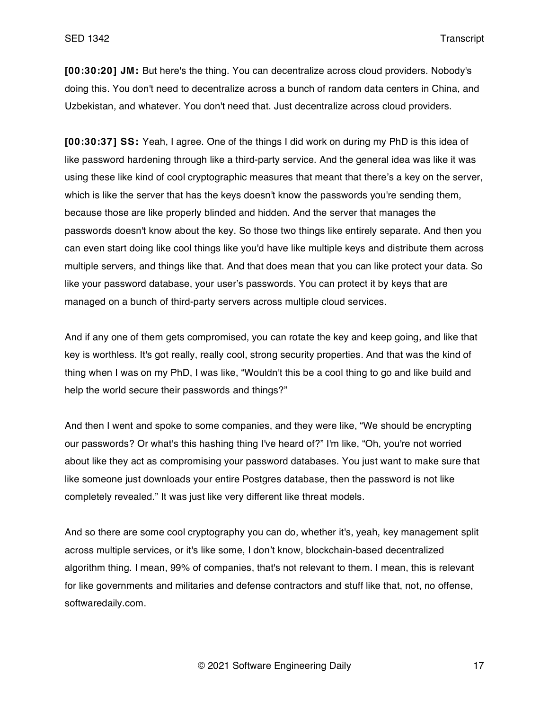**[00:30:20] JM:** But here's the thing. You can decentralize across cloud providers. Nobody's doing this. You don't need to decentralize across a bunch of random data centers in China, and Uzbekistan, and whatever. You don't need that. Just decentralize across cloud providers.

**[00:30:37] SS:** Yeah, I agree. One of the things I did work on during my PhD is this idea of like password hardening through like a third-party service. And the general idea was like it was using these like kind of cool cryptographic measures that meant that there's a key on the server, which is like the server that has the keys doesn't know the passwords you're sending them, because those are like properly blinded and hidden. And the server that manages the passwords doesn't know about the key. So those two things like entirely separate. And then you can even start doing like cool things like you'd have like multiple keys and distribute them across multiple servers, and things like that. And that does mean that you can like protect your data. So like your password database, your user's passwords. You can protect it by keys that are managed on a bunch of third-party servers across multiple cloud services.

And if any one of them gets compromised, you can rotate the key and keep going, and like that key is worthless. It's got really, really cool, strong security properties. And that was the kind of thing when I was on my PhD, I was like, "Wouldn't this be a cool thing to go and like build and help the world secure their passwords and things?"

And then I went and spoke to some companies, and they were like, "We should be encrypting our passwords? Or what's this hashing thing I've heard of?" I'm like, "Oh, you're not worried about like they act as compromising your password databases. You just want to make sure that like someone just downloads your entire Postgres database, then the password is not like completely revealed." It was just like very different like threat models.

And so there are some cool cryptography you can do, whether it's, yeah, key management split across multiple services, or it's like some, I don't know, blockchain-based decentralized algorithm thing. I mean, 99% of companies, that's not relevant to them. I mean, this is relevant for like governments and militaries and defense contractors and stuff like that, not, no offense, softwaredaily.com.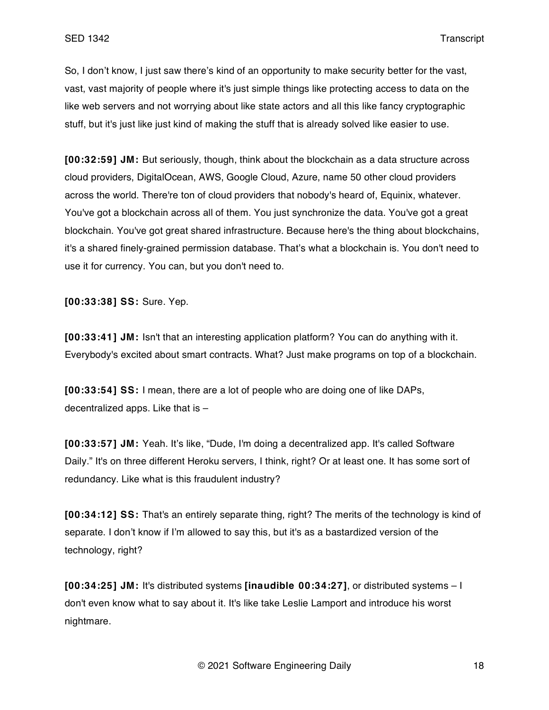So, I don't know, I just saw there's kind of an opportunity to make security better for the vast, vast, vast majority of people where it's just simple things like protecting access to data on the like web servers and not worrying about like state actors and all this like fancy cryptographic stuff, but it's just like just kind of making the stuff that is already solved like easier to use.

**[00:32:59] JM:** But seriously, though, think about the blockchain as a data structure across cloud providers, DigitalOcean, AWS, Google Cloud, Azure, name 50 other cloud providers across the world. There're ton of cloud providers that nobody's heard of, Equinix, whatever. You've got a blockchain across all of them. You just synchronize the data. You've got a great blockchain. You've got great shared infrastructure. Because here's the thing about blockchains, it's a shared finely-grained permission database. That's what a blockchain is. You don't need to use it for currency. You can, but you don't need to.

**[00:33:38] SS:** Sure. Yep.

**[00:33:41] JM:** Isn't that an interesting application platform? You can do anything with it. Everybody's excited about smart contracts. What? Just make programs on top of a blockchain.

**[00:33:54] SS:** I mean, there are a lot of people who are doing one of like DAPs, decentralized apps. Like that is –

**[00:33:57] JM:** Yeah. It's like, "Dude, I'm doing a decentralized app. It's called Software Daily." It's on three different Heroku servers, I think, right? Or at least one. It has some sort of redundancy. Like what is this fraudulent industry?

**[00:34:12] SS:** That's an entirely separate thing, right? The merits of the technology is kind of separate. I don't know if I'm allowed to say this, but it's as a bastardized version of the technology, right?

**[00:34:25] JM:** It's distributed systems **[inaudible 00:34:27]**, or distributed systems – I don't even know what to say about it. It's like take Leslie Lamport and introduce his worst nightmare.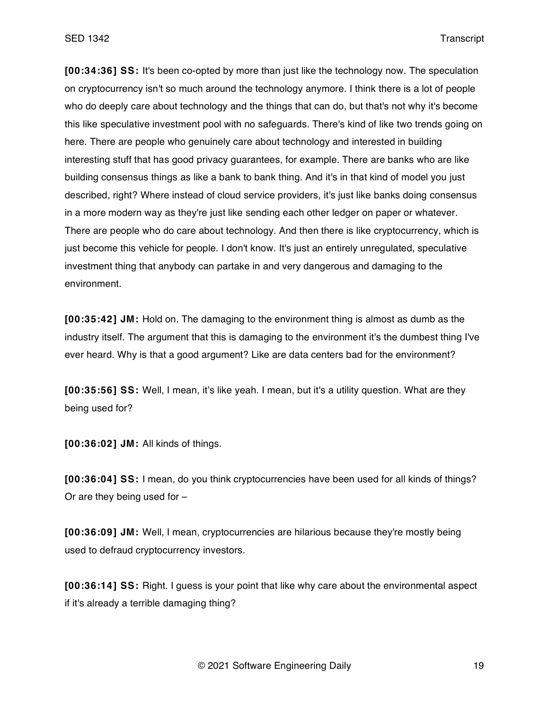**[00:34:36] SS:** It's been co-opted by more than just like the technology now. The speculation on cryptocurrency isn't so much around the technology anymore. I think there is a lot of people who do deeply care about technology and the things that can do, but that's not why it's become this like speculative investment pool with no safeguards. There's kind of like two trends going on here. There are people who genuinely care about technology and interested in building interesting stuff that has good privacy guarantees, for example. There are banks who are like building consensus things as like a bank to bank thing. And it's in that kind of model you just described, right? Where instead of cloud service providers, it's just like banks doing consensus in a more modern way as they're just like sending each other ledger on paper or whatever. There are people who do care about technology. And then there is like cryptocurrency, which is just become this vehicle for people. I don't know. It's just an entirely unregulated, speculative investment thing that anybody can partake in and very dangerous and damaging to the environment.

**[00:35:42] JM:** Hold on. The damaging to the environment thing is almost as dumb as the industry itself. The argument that this is damaging to the environment it's the dumbest thing I've ever heard. Why is that a good argument? Like are data centers bad for the environment?

**[00:35:56] SS:** Well, I mean, it's like yeah. I mean, but it's a utility question. What are they being used for?

**[00:36:02] JM:** All kinds of things.

**[00:36:04] SS:** I mean, do you think cryptocurrencies have been used for all kinds of things? Or are they being used for –

**[00:36:09] JM:** Well, I mean, cryptocurrencies are hilarious because they're mostly being used to defraud cryptocurrency investors.

**[00:36:14] SS:** Right. I guess is your point that like why care about the environmental aspect if it's already a terrible damaging thing?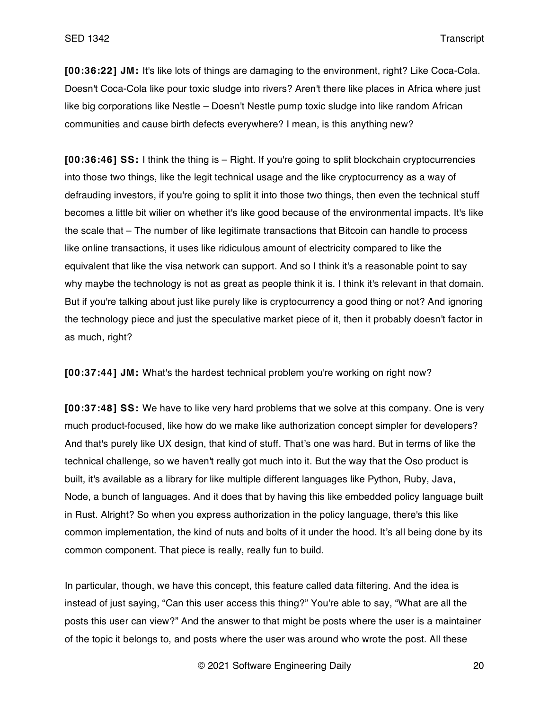**[00:36:22] JM:** It's like lots of things are damaging to the environment, right? Like Coca-Cola. Doesn't Coca-Cola like pour toxic sludge into rivers? Aren't there like places in Africa where just like big corporations like Nestle – Doesn't Nestle pump toxic sludge into like random African communities and cause birth defects everywhere? I mean, is this anything new?

**[00:36:46] SS:** I think the thing is – Right. If you're going to split blockchain cryptocurrencies into those two things, like the legit technical usage and the like cryptocurrency as a way of defrauding investors, if you're going to split it into those two things, then even the technical stuff becomes a little bit wilier on whether it's like good because of the environmental impacts. It's like the scale that – The number of like legitimate transactions that Bitcoin can handle to process like online transactions, it uses like ridiculous amount of electricity compared to like the equivalent that like the visa network can support. And so I think it's a reasonable point to say why maybe the technology is not as great as people think it is. I think it's relevant in that domain. But if you're talking about just like purely like is cryptocurrency a good thing or not? And ignoring the technology piece and just the speculative market piece of it, then it probably doesn't factor in as much, right?

**[00:37:44] JM:** What's the hardest technical problem you're working on right now?

**[00:37:48] SS:** We have to like very hard problems that we solve at this company. One is very much product-focused, like how do we make like authorization concept simpler for developers? And that's purely like UX design, that kind of stuff. That's one was hard. But in terms of like the technical challenge, so we haven't really got much into it. But the way that the Oso product is built, it's available as a library for like multiple different languages like Python, Ruby, Java, Node, a bunch of languages. And it does that by having this like embedded policy language built in Rust. Alright? So when you express authorization in the policy language, there's this like common implementation, the kind of nuts and bolts of it under the hood. It's all being done by its common component. That piece is really, really fun to build.

In particular, though, we have this concept, this feature called data filtering. And the idea is instead of just saying, "Can this user access this thing?" You're able to say, "What are all the posts this user can view?" And the answer to that might be posts where the user is a maintainer of the topic it belongs to, and posts where the user was around who wrote the post. All these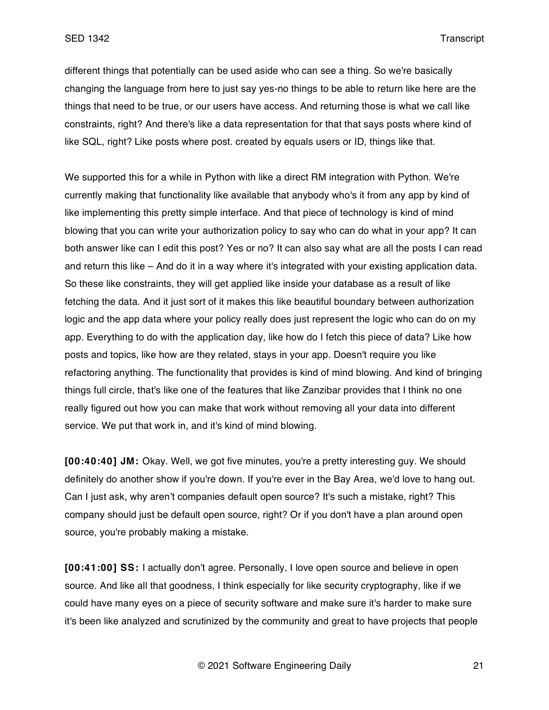different things that potentially can be used aside who can see a thing. So we're basically changing the language from here to just say yes-no things to be able to return like here are the things that need to be true, or our users have access. And returning those is what we call like constraints, right? And there's like a data representation for that that says posts where kind of like SQL, right? Like posts where post. created by equals users or ID, things like that.

We supported this for a while in Python with like a direct RM integration with Python. We're currently making that functionality like available that anybody who's it from any app by kind of like implementing this pretty simple interface. And that piece of technology is kind of mind blowing that you can write your authorization policy to say who can do what in your app? It can both answer like can I edit this post? Yes or no? It can also say what are all the posts I can read and return this like – And do it in a way where it's integrated with your existing application data. So these like constraints, they will get applied like inside your database as a result of like fetching the data. And it just sort of it makes this like beautiful boundary between authorization logic and the app data where your policy really does just represent the logic who can do on my app. Everything to do with the application day, like how do I fetch this piece of data? Like how posts and topics, like how are they related, stays in your app. Doesn't require you like refactoring anything. The functionality that provides is kind of mind blowing. And kind of bringing things full circle, that's like one of the features that like Zanzibar provides that I think no one really figured out how you can make that work without removing all your data into different service. We put that work in, and it's kind of mind blowing.

**[00:40:40] JM:** Okay. Well, we got five minutes, you're a pretty interesting guy. We should definitely do another show if you're down. If you're ever in the Bay Area, we'd love to hang out. Can I just ask, why aren't companies default open source? It's such a mistake, right? This company should just be default open source, right? Or if you don't have a plan around open source, you're probably making a mistake.

**[00:41:00] SS:** I actually don't agree. Personally, I love open source and believe in open source. And like all that goodness, I think especially for like security cryptography, like if we could have many eyes on a piece of security software and make sure it's harder to make sure it's been like analyzed and scrutinized by the community and great to have projects that people